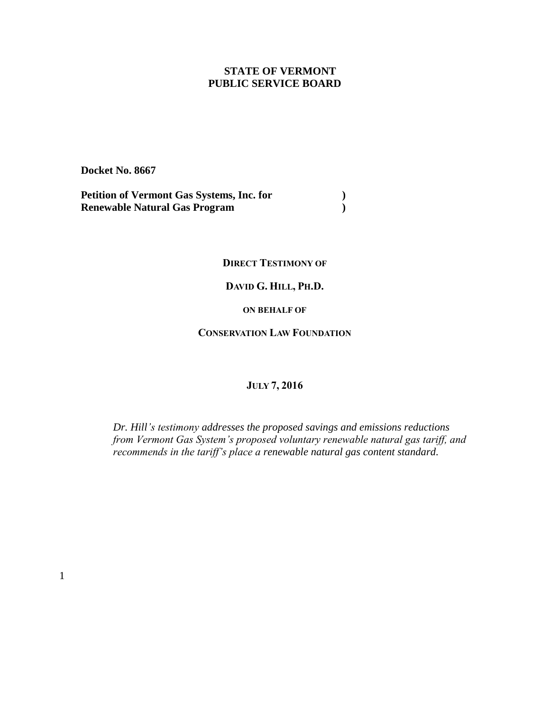### **STATE OF VERMONT PUBLIC SERVICE BOARD**

**Docket No. 8667**

**Petition of Vermont Gas Systems, Inc. for ) Renewable Natural Gas Program )**

**DIRECT TESTIMONY OF**

#### **DAVID G. HILL, PH.D.**

#### **ON BEHALF OF**

#### **CONSERVATION LAW FOUNDATION**

#### **JULY 7, 2016**

*Dr. Hill's testimony addresses the proposed savings and emissions reductions from Vermont Gas System's proposed voluntary renewable natural gas tariff, and recommends in the tariff's place a renewable natural gas content standard.*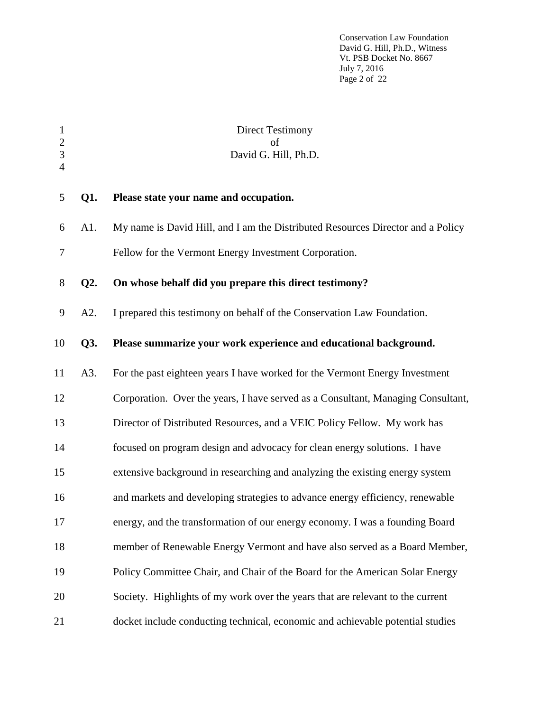Conservation Law Foundation David G. Hill, Ph.D., Witness Vt. PSB Docket No. 8667 July 7, 2016 Page 2 of 22

| $\mathbf{1}$<br>$\frac{2}{3}$ |        | <b>Direct Testimony</b><br>of<br>David G. Hill, Ph.D.                            |
|-------------------------------|--------|----------------------------------------------------------------------------------|
| $\overline{4}$                |        |                                                                                  |
| 5                             | Q1.    | Please state your name and occupation.                                           |
| 6                             | A1.    | My name is David Hill, and I am the Distributed Resources Director and a Policy  |
| 7                             |        | Fellow for the Vermont Energy Investment Corporation.                            |
| $8\,$                         | $Q2$ . | On whose behalf did you prepare this direct testimony?                           |
| 9                             | A2.    | I prepared this testimony on behalf of the Conservation Law Foundation.          |
| 10                            | Q3.    | Please summarize your work experience and educational background.                |
| 11                            | A3.    | For the past eighteen years I have worked for the Vermont Energy Investment      |
| 12                            |        | Corporation. Over the years, I have served as a Consultant, Managing Consultant, |
| 13                            |        | Director of Distributed Resources, and a VEIC Policy Fellow. My work has         |
| 14                            |        | focused on program design and advocacy for clean energy solutions. I have        |
| 15                            |        | extensive background in researching and analyzing the existing energy system     |
| 16                            |        | and markets and developing strategies to advance energy efficiency, renewable    |
| 17                            |        | energy, and the transformation of our energy economy. I was a founding Board     |
| 18                            |        | member of Renewable Energy Vermont and have also served as a Board Member,       |
| 19                            |        | Policy Committee Chair, and Chair of the Board for the American Solar Energy     |
| 20                            |        | Society. Highlights of my work over the years that are relevant to the current   |
| 21                            |        | docket include conducting technical, economic and achievable potential studies   |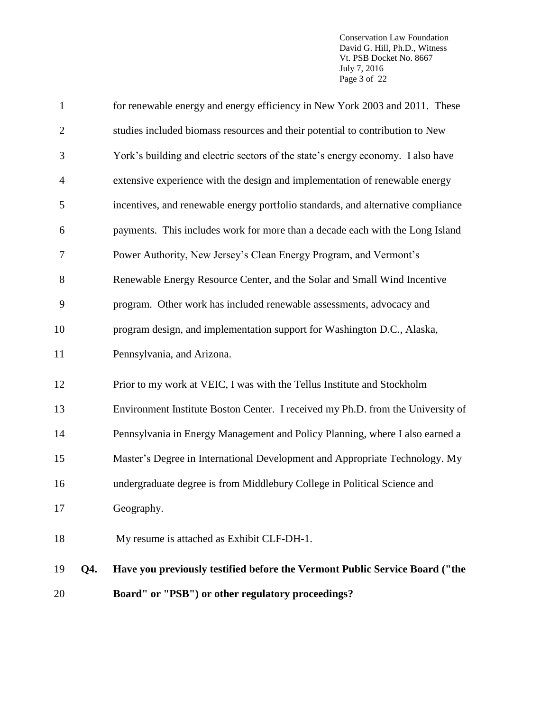Conservation Law Foundation David G. Hill, Ph.D., Witness Vt. PSB Docket No. 8667 July 7, 2016 Page 3 of 22

| 20             |     | Board" or "PSB") or other regulatory proceedings?                                |
|----------------|-----|----------------------------------------------------------------------------------|
| 19             | Q4. | Have you previously testified before the Vermont Public Service Board ("the      |
| 18             |     | My resume is attached as Exhibit CLF-DH-1.                                       |
| 17             |     | Geography.                                                                       |
| 16             |     | undergraduate degree is from Middlebury College in Political Science and         |
| 15             |     | Master's Degree in International Development and Appropriate Technology. My      |
| 14             |     | Pennsylvania in Energy Management and Policy Planning, where I also earned a     |
| 13             |     | Environment Institute Boston Center. I received my Ph.D. from the University of  |
| 12             |     | Prior to my work at VEIC, I was with the Tellus Institute and Stockholm          |
| 11             |     | Pennsylvania, and Arizona.                                                       |
| 10             |     | program design, and implementation support for Washington D.C., Alaska,          |
| 9              |     | program. Other work has included renewable assessments, advocacy and             |
| 8              |     | Renewable Energy Resource Center, and the Solar and Small Wind Incentive         |
| 7              |     | Power Authority, New Jersey's Clean Energy Program, and Vermont's                |
| 6              |     | payments. This includes work for more than a decade each with the Long Island    |
| 5              |     | incentives, and renewable energy portfolio standards, and alternative compliance |
| $\overline{4}$ |     | extensive experience with the design and implementation of renewable energy      |
| 3              |     | York's building and electric sectors of the state's energy economy. I also have  |
| $\overline{2}$ |     | studies included biomass resources and their potential to contribution to New    |
| $\mathbf{1}$   |     | for renewable energy and energy efficiency in New York 2003 and 2011. These      |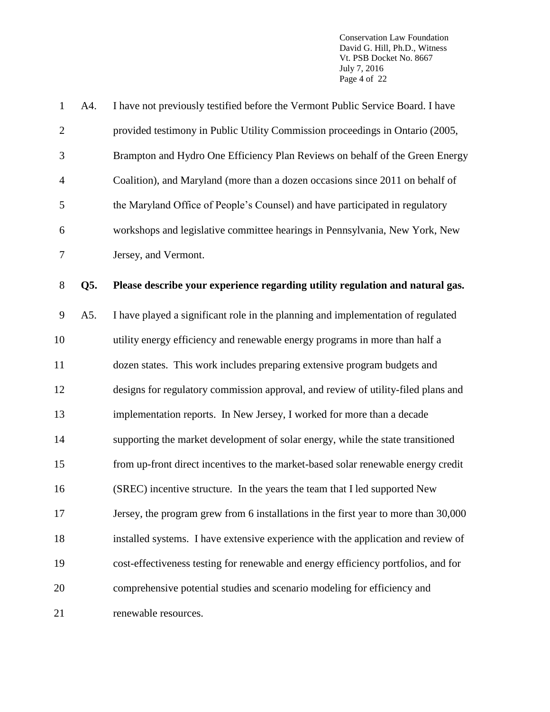Conservation Law Foundation David G. Hill, Ph.D., Witness Vt. PSB Docket No. 8667 July 7, 2016 Page 4 of 22

| $\mathbf{1}$   | A4. | I have not previously testified before the Vermont Public Service Board. I have     |
|----------------|-----|-------------------------------------------------------------------------------------|
| $\overline{2}$ |     | provided testimony in Public Utility Commission proceedings in Ontario (2005,       |
| 3              |     | Brampton and Hydro One Efficiency Plan Reviews on behalf of the Green Energy        |
| $\overline{4}$ |     | Coalition), and Maryland (more than a dozen occasions since 2011 on behalf of       |
| 5              |     | the Maryland Office of People's Counsel) and have participated in regulatory        |
| 6              |     | workshops and legislative committee hearings in Pennsylvania, New York, New         |
| 7              |     | Jersey, and Vermont.                                                                |
| $8\,$          | Q5. | Please describe your experience regarding utility regulation and natural gas.       |
| 9              | A5. | I have played a significant role in the planning and implementation of regulated    |
| 10             |     | utility energy efficiency and renewable energy programs in more than half a         |
| 11             |     | dozen states. This work includes preparing extensive program budgets and            |
| 12             |     | designs for regulatory commission approval, and review of utility-filed plans and   |
| 13             |     | implementation reports. In New Jersey, I worked for more than a decade              |
| 14             |     | supporting the market development of solar energy, while the state transitioned     |
| 15             |     | from up-front direct incentives to the market-based solar renewable energy credit   |
| 16             |     | (SREC) incentive structure. In the years the team that I led supported New          |
| 17             |     | Jersey, the program grew from 6 installations in the first year to more than 30,000 |
| 18             |     | installed systems. I have extensive experience with the application and review of   |
| 19             |     | cost-effectiveness testing for renewable and energy efficiency portfolios, and for  |
| 20             |     | comprehensive potential studies and scenario modeling for efficiency and            |
| 21             |     | renewable resources.                                                                |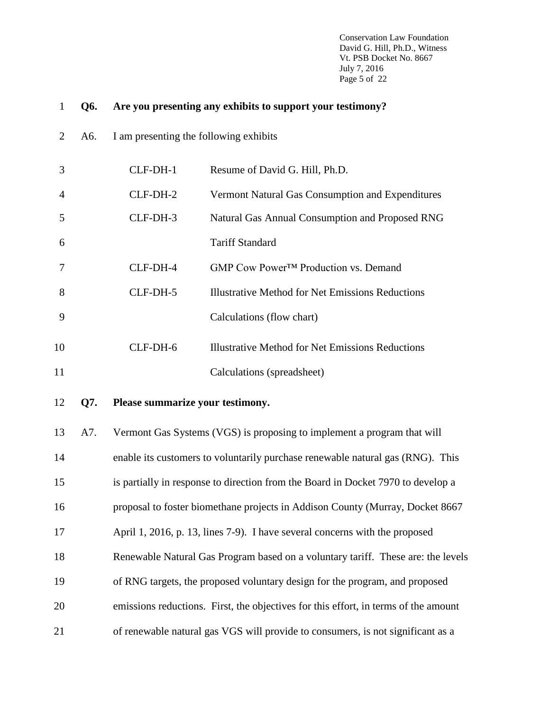Conservation Law Foundation David G. Hill, Ph.D., Witness Vt. PSB Docket No. 8667 July 7, 2016 Page 5 of 22

| $\mathbf{1}$ | Q6. |                                        | Are you presenting any exhibits to support your testimony?                          |
|--------------|-----|----------------------------------------|-------------------------------------------------------------------------------------|
| 2            | A6. | I am presenting the following exhibits |                                                                                     |
| 3            |     | CLF-DH-1                               | Resume of David G. Hill, Ph.D.                                                      |
| 4            |     | CLF-DH-2                               | Vermont Natural Gas Consumption and Expenditures                                    |
| 5            |     | CLF-DH-3                               | Natural Gas Annual Consumption and Proposed RNG                                     |
| 6            |     |                                        | <b>Tariff Standard</b>                                                              |
| 7            |     | CLF-DH-4                               | GMP Cow Power™ Production vs. Demand                                                |
| 8            |     | CLF-DH-5                               | <b>Illustrative Method for Net Emissions Reductions</b>                             |
| 9            |     |                                        | Calculations (flow chart)                                                           |
| 10           |     | CLF-DH-6                               | <b>Illustrative Method for Net Emissions Reductions</b>                             |
| 11           |     |                                        | Calculations (spreadsheet)                                                          |
| 12           | Q7. | Please summarize your testimony.       |                                                                                     |
| 13           | A7. |                                        | Vermont Gas Systems (VGS) is proposing to implement a program that will             |
| 14           |     |                                        | enable its customers to voluntarily purchase renewable natural gas (RNG). This      |
| 15           |     |                                        | is partially in response to direction from the Board in Docket 7970 to develop a    |
| 16           |     |                                        | proposal to foster biomethane projects in Addison County (Murray, Docket 8667       |
| 17           |     |                                        | April 1, 2016, p. 13, lines 7-9). I have several concerns with the proposed         |
| 18           |     |                                        | Renewable Natural Gas Program based on a voluntary tariff. These are: the levels    |
| 19           |     |                                        | of RNG targets, the proposed voluntary design for the program, and proposed         |
| 20           |     |                                        | emissions reductions. First, the objectives for this effort, in terms of the amount |
| 21           |     |                                        | of renewable natural gas VGS will provide to consumers, is not significant as a     |
|              |     |                                        |                                                                                     |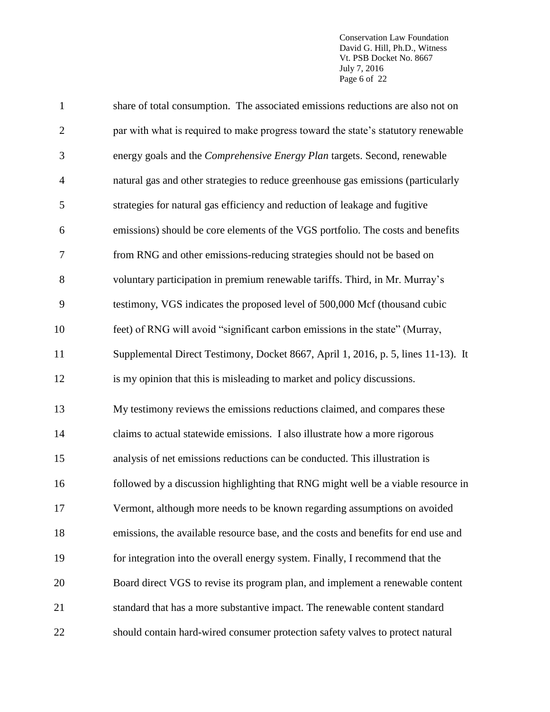Conservation Law Foundation David G. Hill, Ph.D., Witness Vt. PSB Docket No. 8667 July 7, 2016 Page 6 of 22

| $\mathbf{1}$   | share of total consumption. The associated emissions reductions are also not on    |
|----------------|------------------------------------------------------------------------------------|
| $\mathbf{2}$   | par with what is required to make progress toward the state's statutory renewable  |
| 3              | energy goals and the Comprehensive Energy Plan targets. Second, renewable          |
| $\overline{4}$ | natural gas and other strategies to reduce greenhouse gas emissions (particularly  |
| 5              | strategies for natural gas efficiency and reduction of leakage and fugitive        |
| 6              | emissions) should be core elements of the VGS portfolio. The costs and benefits    |
| $\tau$         | from RNG and other emissions-reducing strategies should not be based on            |
| 8              | voluntary participation in premium renewable tariffs. Third, in Mr. Murray's       |
| 9              | testimony, VGS indicates the proposed level of 500,000 Mcf (thousand cubic         |
| 10             | feet) of RNG will avoid "significant carbon emissions in the state" (Murray,       |
| 11             | Supplemental Direct Testimony, Docket 8667, April 1, 2016, p. 5, lines 11-13). It  |
| 12             | is my opinion that this is misleading to market and policy discussions.            |
| 13             | My testimony reviews the emissions reductions claimed, and compares these          |
| 14             | claims to actual statewide emissions. I also illustrate how a more rigorous        |
| 15             | analysis of net emissions reductions can be conducted. This illustration is        |
| 16             | followed by a discussion highlighting that RNG might well be a viable resource in  |
| 17             | Vermont, although more needs to be known regarding assumptions on avoided          |
| 18             | emissions, the available resource base, and the costs and benefits for end use and |
| 19             | for integration into the overall energy system. Finally, I recommend that the      |
| 20             | Board direct VGS to revise its program plan, and implement a renewable content     |
| 21             | standard that has a more substantive impact. The renewable content standard        |
| 22             | should contain hard-wired consumer protection safety valves to protect natural     |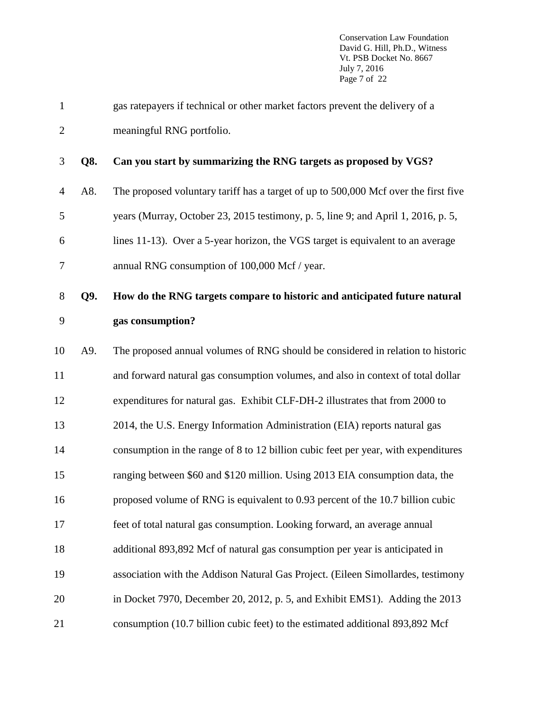Conservation Law Foundation David G. Hill, Ph.D., Witness Vt. PSB Docket No. 8667 July 7, 2016 Page 7 of 22

| $\mathbf{1}$   |     | gas rate payers if technical or other market factors prevent the delivery of a      |
|----------------|-----|-------------------------------------------------------------------------------------|
| $\overline{2}$ |     | meaningful RNG portfolio.                                                           |
| 3              | Q8. | Can you start by summarizing the RNG targets as proposed by VGS?                    |
| $\overline{4}$ | A8. | The proposed voluntary tariff has a target of up to 500,000 Mcf over the first five |
| 5              |     | years (Murray, October 23, 2015 testimony, p. 5, line 9; and April 1, 2016, p. 5,   |
| 6              |     | lines 11-13). Over a 5-year horizon, the VGS target is equivalent to an average     |
| 7              |     | annual RNG consumption of 100,000 Mcf / year.                                       |
| 8              | Q9. | How do the RNG targets compare to historic and anticipated future natural           |
| 9              |     | gas consumption?                                                                    |
| 10             | A9. | The proposed annual volumes of RNG should be considered in relation to historic     |
| 11             |     | and forward natural gas consumption volumes, and also in context of total dollar    |
| 12             |     | expenditures for natural gas. Exhibit CLF-DH-2 illustrates that from 2000 to        |
| 13             |     | 2014, the U.S. Energy Information Administration (EIA) reports natural gas          |
| 14             |     | consumption in the range of 8 to 12 billion cubic feet per year, with expenditures  |
| 15             |     | ranging between \$60 and \$120 million. Using 2013 EIA consumption data, the        |
| 16             |     | proposed volume of RNG is equivalent to 0.93 percent of the 10.7 billion cubic      |
| 17             |     | feet of total natural gas consumption. Looking forward, an average annual           |
| 18             |     | additional 893,892 Mcf of natural gas consumption per year is anticipated in        |
| 19             |     | association with the Addison Natural Gas Project. (Eileen Simollardes, testimony    |
| 20             |     | in Docket 7970, December 20, 2012, p. 5, and Exhibit EMS1). Adding the 2013         |
| 21             |     | consumption (10.7 billion cubic feet) to the estimated additional 893,892 Mcf       |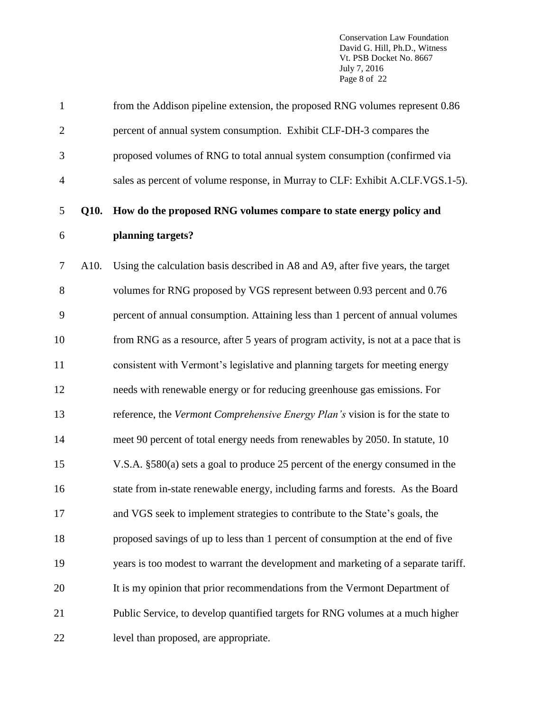Conservation Law Foundation David G. Hill, Ph.D., Witness Vt. PSB Docket No. 8667 July 7, 2016 Page 8 of 22

| $\mathbf{1}$   |             | from the Addison pipeline extension, the proposed RNG volumes represent 0.86        |
|----------------|-------------|-------------------------------------------------------------------------------------|
| $\mathbf{2}$   |             | percent of annual system consumption. Exhibit CLF-DH-3 compares the                 |
| 3              |             | proposed volumes of RNG to total annual system consumption (confirmed via           |
| $\overline{4}$ |             | sales as percent of volume response, in Murray to CLF: Exhibit A.CLF.VGS.1-5).      |
| 5              | <b>O10.</b> | How do the proposed RNG volumes compare to state energy policy and                  |
| 6              |             | planning targets?                                                                   |
| $\tau$         | A10.        | Using the calculation basis described in A8 and A9, after five years, the target    |
| 8              |             | volumes for RNG proposed by VGS represent between 0.93 percent and 0.76             |
| 9              |             | percent of annual consumption. Attaining less than 1 percent of annual volumes      |
| 10             |             | from RNG as a resource, after 5 years of program activity, is not at a pace that is |
| 11             |             | consistent with Vermont's legislative and planning targets for meeting energy       |
| 12             |             | needs with renewable energy or for reducing greenhouse gas emissions. For           |
| 13             |             | reference, the Vermont Comprehensive Energy Plan's vision is for the state to       |
| 14             |             | meet 90 percent of total energy needs from renewables by 2050. In statute, 10       |
| 15             |             | V.S.A. §580(a) sets a goal to produce 25 percent of the energy consumed in the      |
| 16             |             | state from in-state renewable energy, including farms and forests. As the Board     |
| 17             |             | and VGS seek to implement strategies to contribute to the State's goals, the        |
| 18             |             | proposed savings of up to less than 1 percent of consumption at the end of five     |
| 19             |             | years is too modest to warrant the development and marketing of a separate tariff.  |
| 20             |             | It is my opinion that prior recommendations from the Vermont Department of          |
| 21             |             | Public Service, to develop quantified targets for RNG volumes at a much higher      |
| 22             |             | level than proposed, are appropriate.                                               |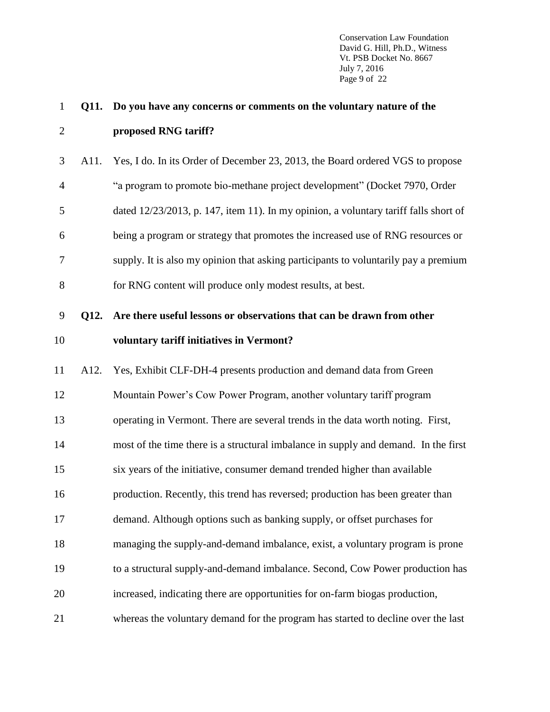Conservation Law Foundation David G. Hill, Ph.D., Witness Vt. PSB Docket No. 8667 July 7, 2016 Page 9 of 22

| $\mathbf{1}$   | <b>Q11.</b> | Do you have any concerns or comments on the voluntary nature of the                  |
|----------------|-------------|--------------------------------------------------------------------------------------|
| $\overline{2}$ |             | proposed RNG tariff?                                                                 |
| 3              | A11.        | Yes, I do. In its Order of December 23, 2013, the Board ordered VGS to propose       |
| $\overline{4}$ |             | "a program to promote bio-methane project development" (Docket 7970, Order           |
| 5              |             | dated 12/23/2013, p. 147, item 11). In my opinion, a voluntary tariff falls short of |
| 6              |             | being a program or strategy that promotes the increased use of RNG resources or      |
| 7              |             | supply. It is also my opinion that asking participants to voluntarily pay a premium  |
| 8              |             | for RNG content will produce only modest results, at best.                           |
| 9              | Q12.        | Are there useful lessons or observations that can be drawn from other                |
| 10             |             | voluntary tariff initiatives in Vermont?                                             |
| 11             | A12.        | Yes, Exhibit CLF-DH-4 presents production and demand data from Green                 |
| 12             |             | Mountain Power's Cow Power Program, another voluntary tariff program                 |
| 13             |             | operating in Vermont. There are several trends in the data worth noting. First,      |
| 14             |             | most of the time there is a structural imbalance in supply and demand. In the first  |
| 15             |             | six years of the initiative, consumer demand trended higher than available           |
| 16             |             | production. Recently, this trend has reversed; production has been greater than      |
| 17             |             | demand. Although options such as banking supply, or offset purchases for             |
| 18             |             | managing the supply-and-demand imbalance, exist, a voluntary program is prone        |
| 19             |             | to a structural supply-and-demand imbalance. Second, Cow Power production has        |
| 20             |             | increased, indicating there are opportunities for on-farm biogas production,         |
| 21             |             | whereas the voluntary demand for the program has started to decline over the last    |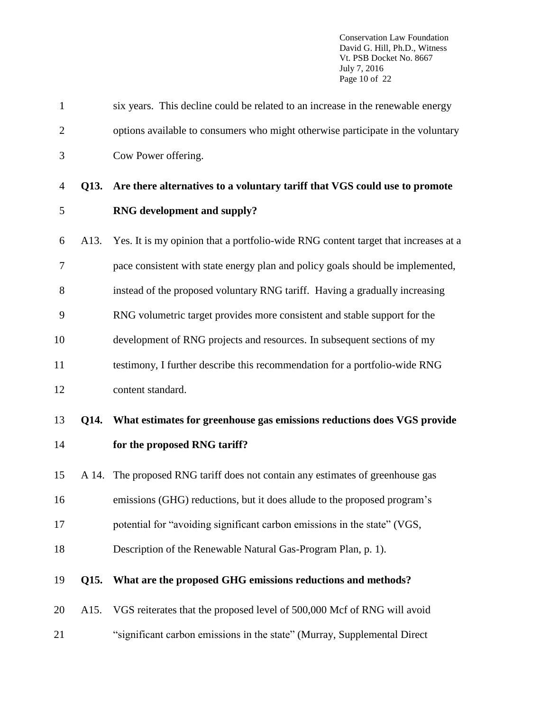Conservation Law Foundation David G. Hill, Ph.D., Witness Vt. PSB Docket No. 8667 July 7, 2016 Page 10 of 22

| $\mathbf{1}$   |                   | six years. This decline could be related to an increase in the renewable energy    |
|----------------|-------------------|------------------------------------------------------------------------------------|
| $\overline{2}$ |                   | options available to consumers who might otherwise participate in the voluntary    |
| 3              |                   | Cow Power offering.                                                                |
| $\overline{4}$ | <b>Q13.</b>       | Are there alternatives to a voluntary tariff that VGS could use to promote         |
| 5              |                   | RNG development and supply?                                                        |
| 6              | A <sub>13</sub> . | Yes. It is my opinion that a portfolio-wide RNG content target that increases at a |
| 7              |                   | pace consistent with state energy plan and policy goals should be implemented,     |
| 8              |                   | instead of the proposed voluntary RNG tariff. Having a gradually increasing        |
| 9              |                   | RNG volumetric target provides more consistent and stable support for the          |
| 10             |                   | development of RNG projects and resources. In subsequent sections of my            |
| 11             |                   | testimony, I further describe this recommendation for a portfolio-wide RNG         |
| 12             |                   | content standard.                                                                  |
| 13             | Q14.              | What estimates for greenhouse gas emissions reductions does VGS provide            |
| 14             |                   | for the proposed RNG tariff?                                                       |
| 15             | A 14.             | The proposed RNG tariff does not contain any estimates of greenhouse gas           |
| 16             |                   | emissions (GHG) reductions, but it does allude to the proposed program's           |
| 17             |                   | potential for "avoiding significant carbon emissions in the state" (VGS,           |
| 18             |                   | Description of the Renewable Natural Gas-Program Plan, p. 1).                      |
| 19             | Q15.              | What are the proposed GHG emissions reductions and methods?                        |
| 20             | A15.              | VGS reiterates that the proposed level of 500,000 Mcf of RNG will avoid            |
| 21             |                   | "significant carbon emissions in the state" (Murray, Supplemental Direct           |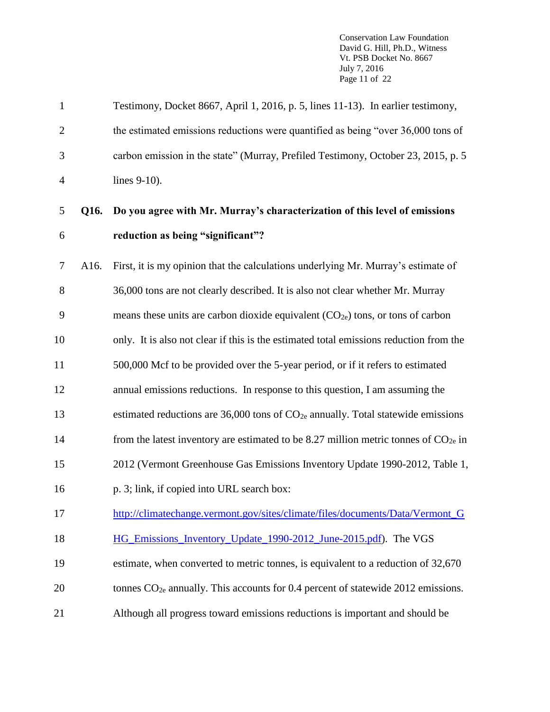Conservation Law Foundation David G. Hill, Ph.D., Witness Vt. PSB Docket No. 8667 July 7, 2016 Page 11 of 22

| $\mathbf{1}$   |      | Testimony, Docket 8667, April 1, 2016, p. 5, lines 11-13). In earlier testimony,         |
|----------------|------|------------------------------------------------------------------------------------------|
| $\overline{2}$ |      | the estimated emissions reductions were quantified as being "over 36,000 tons of         |
| 3              |      | carbon emission in the state" (Murray, Prefiled Testimony, October 23, 2015, p. 5)       |
| $\overline{4}$ |      | lines 9-10).                                                                             |
| 5              | Q16. | Do you agree with Mr. Murray's characterization of this level of emissions               |
| 6              |      | reduction as being "significant"?                                                        |
| 7              | A16. | First, it is my opinion that the calculations underlying Mr. Murray's estimate of        |
| 8              |      | 36,000 tons are not clearly described. It is also not clear whether Mr. Murray           |
| 9              |      | means these units are carbon dioxide equivalent $(CO_{2e})$ tons, or tons of carbon      |
| 10             |      | only. It is also not clear if this is the estimated total emissions reduction from the   |
| 11             |      | 500,000 Mcf to be provided over the 5-year period, or if it refers to estimated          |
| 12             |      | annual emissions reductions. In response to this question, I am assuming the             |
| 13             |      | estimated reductions are $36,000$ tons of $CO2e$ annually. Total statewide emissions     |
| 14             |      | from the latest inventory are estimated to be 8.27 million metric tonnes of $CO_{2e}$ in |
| 15             |      | 2012 (Vermont Greenhouse Gas Emissions Inventory Update 1990-2012, Table 1,              |
| 16             |      | p. 3; link, if copied into URL search box:                                               |
| 17             |      | http://climatechange.vermont.gov/sites/climate/files/documents/Data/Vermont_G            |
| 18             |      | HG_Emissions_Inventory_Update_1990-2012_June-2015.pdf). The VGS                          |
| 19             |      | estimate, when converted to metric tonnes, is equivalent to a reduction of 32,670        |
| 20             |      | tonnes $CO_{2e}$ annually. This accounts for 0.4 percent of statewide 2012 emissions.    |
| 21             |      | Although all progress toward emissions reductions is important and should be             |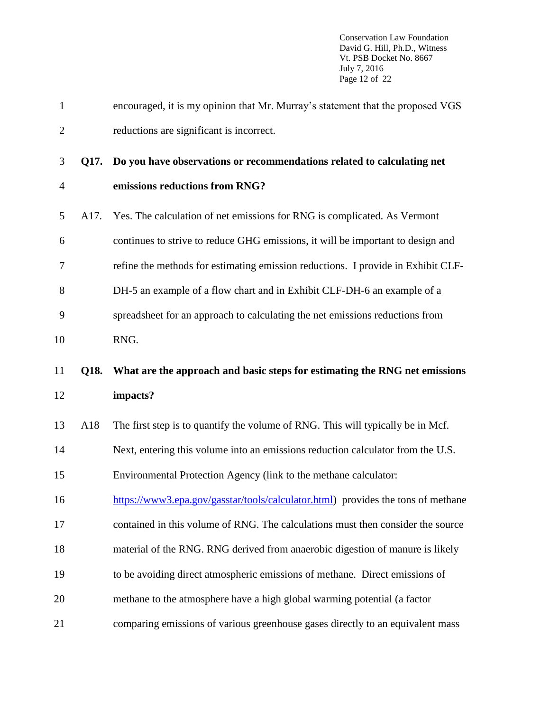Conservation Law Foundation David G. Hill, Ph.D., Witness Vt. PSB Docket No. 8667 July 7, 2016 Page 12 of 22

| $\mathbf{1}$   |             | encouraged, it is my opinion that Mr. Murray's statement that the proposed VGS   |
|----------------|-------------|----------------------------------------------------------------------------------|
| $\overline{2}$ |             | reductions are significant is incorrect.                                         |
| 3              | <b>O17.</b> | Do you have observations or recommendations related to calculating net           |
| $\overline{4}$ |             | emissions reductions from RNG?                                                   |
| 5              | A17.        | Yes. The calculation of net emissions for RNG is complicated. As Vermont         |
| 6              |             | continues to strive to reduce GHG emissions, it will be important to design and  |
| 7              |             | refine the methods for estimating emission reductions. I provide in Exhibit CLF- |
| 8              |             | DH-5 an example of a flow chart and in Exhibit CLF-DH-6 an example of a          |
| 9              |             | spreadsheet for an approach to calculating the net emissions reductions from     |
| 10             |             | RNG.                                                                             |
|                |             |                                                                                  |
| 11             | Q18.        | What are the approach and basic steps for estimating the RNG net emissions       |
| 12             |             | impacts?                                                                         |
| 13             | A18         | The first step is to quantify the volume of RNG. This will typically be in Mcf.  |
| 14             |             | Next, entering this volume into an emissions reduction calculator from the U.S.  |
| 15             |             | Environmental Protection Agency (link to the methane calculator:                 |
| 16             |             | https://www3.epa.gov/gasstar/tools/calculator.html) provides the tons of methane |
| 17             |             | contained in this volume of RNG. The calculations must then consider the source  |
| 18             |             | material of the RNG. RNG derived from anaerobic digestion of manure is likely    |
| 19             |             | to be avoiding direct atmospheric emissions of methane. Direct emissions of      |
| 20             |             | methane to the atmosphere have a high global warming potential (a factor         |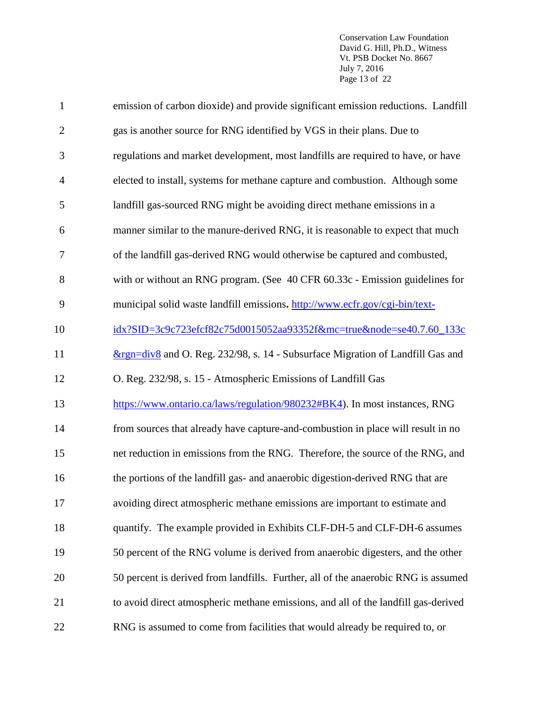Conservation Law Foundation David G. Hill, Ph.D., Witness Vt. PSB Docket No. 8667 July 7, 2016 Page 13 of 22

| $\mathbf{1}$   | emission of carbon dioxide) and provide significant emission reductions. Landfill  |
|----------------|------------------------------------------------------------------------------------|
| $\overline{2}$ | gas is another source for RNG identified by VGS in their plans. Due to             |
| 3              | regulations and market development, most landfills are required to have, or have   |
| $\overline{4}$ | elected to install, systems for methane capture and combustion. Although some      |
| 5              | landfill gas-sourced RNG might be avoiding direct methane emissions in a           |
| 6              | manner similar to the manure-derived RNG, it is reasonable to expect that much     |
| $\tau$         | of the landfill gas-derived RNG would otherwise be captured and combusted,         |
| 8              | with or without an RNG program. (See 40 CFR 60.33c - Emission guidelines for       |
| 9              | municipal solid waste landfill emissions. http://www.ecfr.gov/cgi-bin/text-        |
| 10             | idx?SID=3c9c723efcf82c75d0015052aa93352f&mc=true&node=se40.7.60_133c               |
| 11             | $&$ rgn=div8 and O. Reg. 232/98, s. 14 - Subsurface Migration of Landfill Gas and  |
| 12             | O. Reg. 232/98, s. 15 - Atmospheric Emissions of Landfill Gas                      |
| 13             | https://www.ontario.ca/laws/regulation/980232#BK4). In most instances, RNG         |
| 14             | from sources that already have capture-and-combustion in place will result in no   |
| 15             | net reduction in emissions from the RNG. Therefore, the source of the RNG, and     |
| 16             | the portions of the landfill gas- and anaerobic digestion-derived RNG that are     |
| 17             | avoiding direct atmospheric methane emissions are important to estimate and        |
| 18             | quantify. The example provided in Exhibits CLF-DH-5 and CLF-DH-6 assumes           |
| 19             | 50 percent of the RNG volume is derived from anaerobic digesters, and the other    |
| 20             | 50 percent is derived from landfills. Further, all of the anaerobic RNG is assumed |
| 21             | to avoid direct atmospheric methane emissions, and all of the landfill gas-derived |
|                |                                                                                    |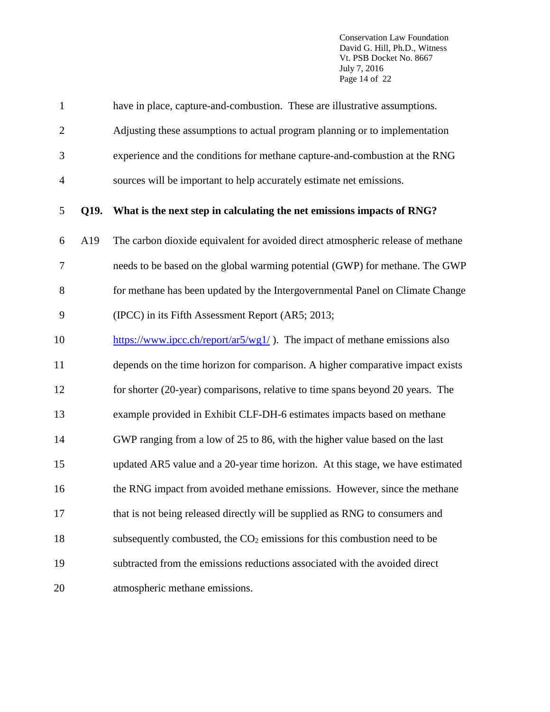Conservation Law Foundation David G. Hill, Ph.D., Witness Vt. PSB Docket No. 8667 July 7, 2016 Page 14 of 22

| $\mathbf{1}$   |      | have in place, capture-and-combustion. These are illustrative assumptions.      |
|----------------|------|---------------------------------------------------------------------------------|
| $\overline{2}$ |      | Adjusting these assumptions to actual program planning or to implementation     |
| 3              |      | experience and the conditions for methane capture-and-combustion at the RNG     |
| $\overline{4}$ |      | sources will be important to help accurately estimate net emissions.            |
| 5              | Q19. | What is the next step in calculating the net emissions impacts of RNG?          |
| 6              | A19  | The carbon dioxide equivalent for avoided direct atmospheric release of methane |
| $\tau$         |      | needs to be based on the global warming potential (GWP) for methane. The GWP    |
| 8              |      | for methane has been updated by the Intergovernmental Panel on Climate Change   |
| 9              |      | (IPCC) in its Fifth Assessment Report (AR5; 2013;                               |
| 10             |      | https://www.ipcc.ch/report/ar5/wg1/). The impact of methane emissions also      |
| 11             |      | depends on the time horizon for comparison. A higher comparative impact exists  |
| 12             |      | for shorter (20-year) comparisons, relative to time spans beyond 20 years. The  |
| 13             |      | example provided in Exhibit CLF-DH-6 estimates impacts based on methane         |
| 14             |      | GWP ranging from a low of 25 to 86, with the higher value based on the last     |
| 15             |      | updated AR5 value and a 20-year time horizon. At this stage, we have estimated  |
| 16             |      | the RNG impact from avoided methane emissions. However, since the methane       |
| 17             |      | that is not being released directly will be supplied as RNG to consumers and    |
| 18             |      | subsequently combusted, the $CO2$ emissions for this combustion need to be      |
| 19             |      | subtracted from the emissions reductions associated with the avoided direct     |
| 20             |      | atmospheric methane emissions.                                                  |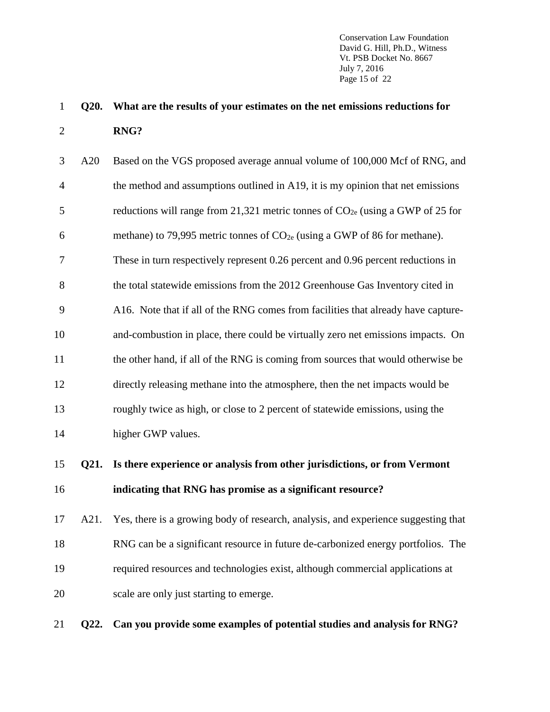Conservation Law Foundation David G. Hill, Ph.D., Witness Vt. PSB Docket No. 8667 July 7, 2016 Page 15 of 22

# **Q20. What are the results of your estimates on the net emissions reductions for RNG?**

| 3              | A20         | Based on the VGS proposed average annual volume of 100,000 Mcf of RNG, and          |
|----------------|-------------|-------------------------------------------------------------------------------------|
| $\overline{4}$ |             | the method and assumptions outlined in A19, it is my opinion that net emissions     |
| 5              |             | reductions will range from 21,321 metric tonnes of $CO_{2e}$ (using a GWP of 25 for |
| 6              |             | methane) to 79,995 metric tonnes of $CO_{2e}$ (using a GWP of 86 for methane).      |
| 7              |             | These in turn respectively represent 0.26 percent and 0.96 percent reductions in    |
| 8              |             | the total statewide emissions from the 2012 Greenhouse Gas Inventory cited in       |
| 9              |             | A16. Note that if all of the RNG comes from facilities that already have capture-   |
| 10             |             | and-combustion in place, there could be virtually zero net emissions impacts. On    |
| 11             |             | the other hand, if all of the RNG is coming from sources that would otherwise be    |
| 12             |             | directly releasing methane into the atmosphere, then the net impacts would be       |
| 13             |             | roughly twice as high, or close to 2 percent of statewide emissions, using the      |
| 14             |             | higher GWP values.                                                                  |
| 15             | <b>Q21.</b> | Is there experience or analysis from other jurisdictions, or from Vermont           |
| 16             |             | indicating that RNG has promise as a significant resource?                          |
| 17             | A21.        | Yes, there is a growing body of research, analysis, and experience suggesting that  |
| 18             |             | RNG can be a significant resource in future de-carbonized energy portfolios. The    |
| 19             |             | required resources and technologies exist, although commercial applications at      |
| 20             |             | scale are only just starting to emerge.                                             |

**Q22. Can you provide some examples of potential studies and analysis for RNG?**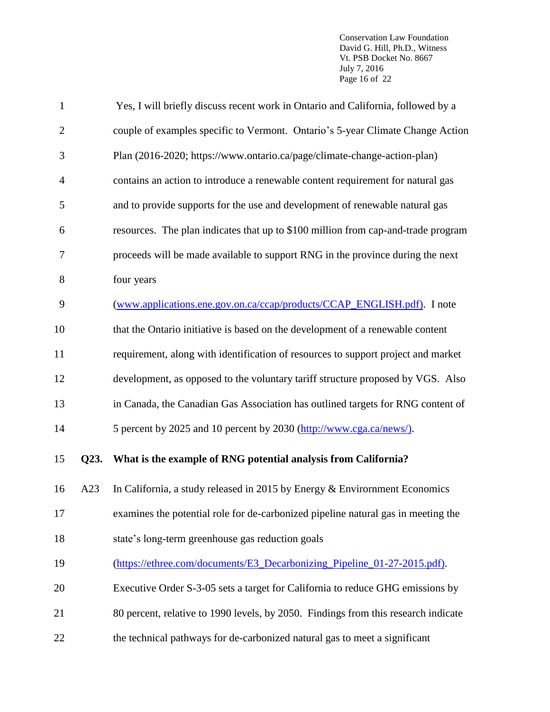Conservation Law Foundation David G. Hill, Ph.D., Witness Vt. PSB Docket No. 8667 July 7, 2016 Page 16 of 22

| $\mathbf{1}$   |      | Yes, I will briefly discuss recent work in Ontario and California, followed by a   |
|----------------|------|------------------------------------------------------------------------------------|
| $\overline{2}$ |      | couple of examples specific to Vermont. Ontario's 5-year Climate Change Action     |
| 3              |      | Plan (2016-2020; https://www.ontario.ca/page/climate-change-action-plan)           |
| $\overline{4}$ |      | contains an action to introduce a renewable content requirement for natural gas    |
| 5              |      | and to provide supports for the use and development of renewable natural gas       |
| 6              |      | resources. The plan indicates that up to \$100 million from cap-and-trade program  |
| 7              |      | proceeds will be made available to support RNG in the province during the next     |
| 8              |      | four years                                                                         |
| 9              |      | (www.applications.ene.gov.on.ca/ccap/products/CCAP_ENGLISH.pdf). I note            |
| 10             |      | that the Ontario initiative is based on the development of a renewable content     |
| 11             |      | requirement, along with identification of resources to support project and market  |
| 12             |      | development, as opposed to the voluntary tariff structure proposed by VGS. Also    |
| 13             |      | in Canada, the Canadian Gas Association has outlined targets for RNG content of    |
| 14             |      | 5 percent by 2025 and 10 percent by 2030 (http://www.cga.ca/news/).                |
| 15             | Q23. | What is the example of RNG potential analysis from California?                     |
| 16             | A23  | In California, a study released in 2015 by Energy $&$ Environment Economics        |
| 17             |      | examines the potential role for de-carbonized pipeline natural gas in meeting the  |
| 18             |      | state's long-term greenhouse gas reduction goals                                   |
| 19             |      | (https://ethree.com/documents/E3_Decarbonizing_Pipeline_01-27-2015.pdf).           |
| 20             |      | Executive Order S-3-05 sets a target for California to reduce GHG emissions by     |
| 21             |      | 80 percent, relative to 1990 levels, by 2050. Findings from this research indicate |
| 22             |      | the technical pathways for de-carbonized natural gas to meet a significant         |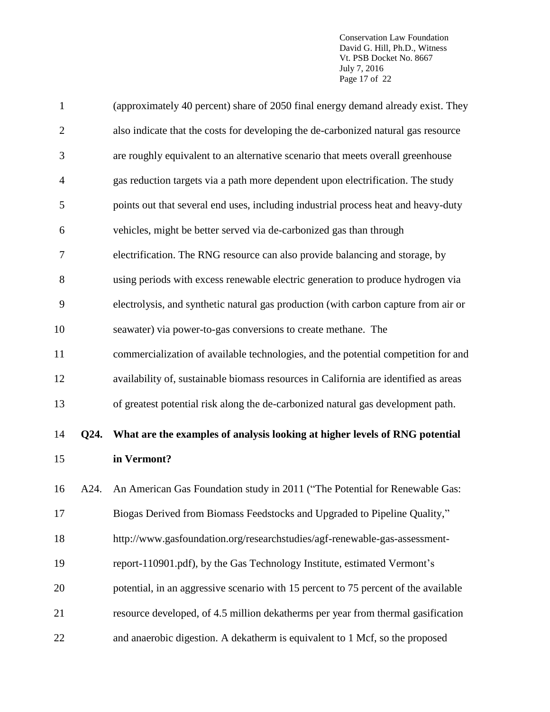Conservation Law Foundation David G. Hill, Ph.D., Witness Vt. PSB Docket No. 8667 July 7, 2016 Page 17 of 22

| $\mathbf{1}$   |      | (approximately 40 percent) share of 2050 final energy demand already exist. They     |
|----------------|------|--------------------------------------------------------------------------------------|
| $\overline{2}$ |      | also indicate that the costs for developing the de-carbonized natural gas resource   |
| 3              |      | are roughly equivalent to an alternative scenario that meets overall greenhouse      |
| $\overline{4}$ |      | gas reduction targets via a path more dependent upon electrification. The study      |
| 5              |      | points out that several end uses, including industrial process heat and heavy-duty   |
| 6              |      | vehicles, might be better served via de-carbonized gas than through                  |
| 7              |      | electrification. The RNG resource can also provide balancing and storage, by         |
| 8              |      | using periods with excess renewable electric generation to produce hydrogen via      |
| 9              |      | electrolysis, and synthetic natural gas production (with carbon capture from air or  |
| 10             |      | seawater) via power-to-gas conversions to create methane. The                        |
| 11             |      | commercialization of available technologies, and the potential competition for and   |
| 12             |      | availability of, sustainable biomass resources in California are identified as areas |
| 13             |      | of greatest potential risk along the de-carbonized natural gas development path.     |
| 14             | Q24. | What are the examples of analysis looking at higher levels of RNG potential          |
| 15             |      | in Vermont?                                                                          |
| 16             | A24. | An American Gas Foundation study in 2011 ("The Potential for Renewable Gas:          |
| 17             |      | Biogas Derived from Biomass Feedstocks and Upgraded to Pipeline Quality,"            |
| 18             |      | http://www.gasfoundation.org/researchstudies/agf-renewable-gas-assessment-           |
| 19             |      | report-110901.pdf), by the Gas Technology Institute, estimated Vermont's             |
| 20             |      | potential, in an aggressive scenario with 15 percent to 75 percent of the available  |
| 21             |      | resource developed, of 4.5 million dekatherms per year from thermal gasification     |
| 22             |      | and anaerobic digestion. A dekatherm is equivalent to 1 Mcf, so the proposed         |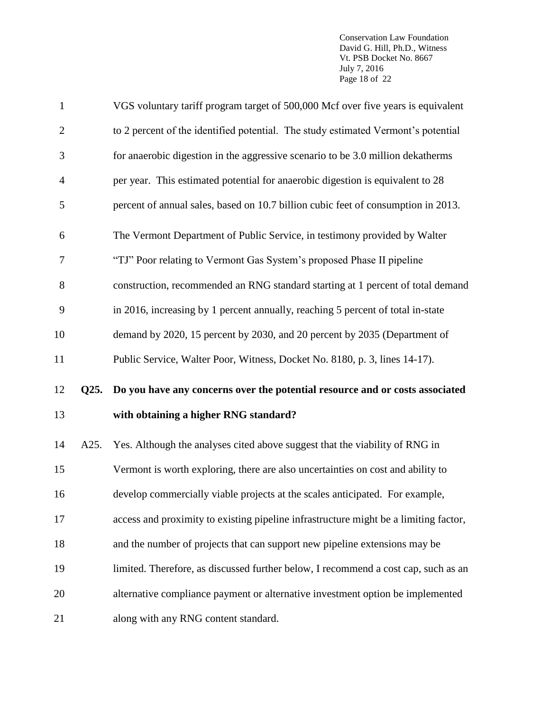Conservation Law Foundation David G. Hill, Ph.D., Witness Vt. PSB Docket No. 8667 July 7, 2016 Page 18 of 22

| $\mathbf{1}$   |      | VGS voluntary tariff program target of 500,000 Mcf over five years is equivalent     |
|----------------|------|--------------------------------------------------------------------------------------|
| $\overline{2}$ |      | to 2 percent of the identified potential. The study estimated Vermont's potential    |
| 3              |      | for anaerobic digestion in the aggressive scenario to be 3.0 million dekatherms      |
| $\overline{4}$ |      | per year. This estimated potential for anaerobic digestion is equivalent to 28       |
| 5              |      | percent of annual sales, based on 10.7 billion cubic feet of consumption in 2013.    |
| 6              |      | The Vermont Department of Public Service, in testimony provided by Walter            |
| $\tau$         |      | "TJ" Poor relating to Vermont Gas System's proposed Phase II pipeline                |
| 8              |      | construction, recommended an RNG standard starting at 1 percent of total demand      |
| 9              |      | in 2016, increasing by 1 percent annually, reaching 5 percent of total in-state      |
| 10             |      | demand by 2020, 15 percent by 2030, and 20 percent by 2035 (Department of            |
| 11             |      | Public Service, Walter Poor, Witness, Docket No. 8180, p. 3, lines 14-17).           |
|                |      |                                                                                      |
| 12             | Q25. | Do you have any concerns over the potential resource and or costs associated         |
| 13             |      | with obtaining a higher RNG standard?                                                |
| 14             | A25. | Yes. Although the analyses cited above suggest that the viability of RNG in          |
| 15             |      | Vermont is worth exploring, there are also uncertainties on cost and ability to      |
| 16             |      | develop commercially viable projects at the scales anticipated. For example,         |
| 17             |      | access and proximity to existing pipeline infrastructure might be a limiting factor, |
| 18             |      | and the number of projects that can support new pipeline extensions may be           |
| 19             |      | limited. Therefore, as discussed further below, I recommend a cost cap, such as an   |
| 20             |      | alternative compliance payment or alternative investment option be implemented       |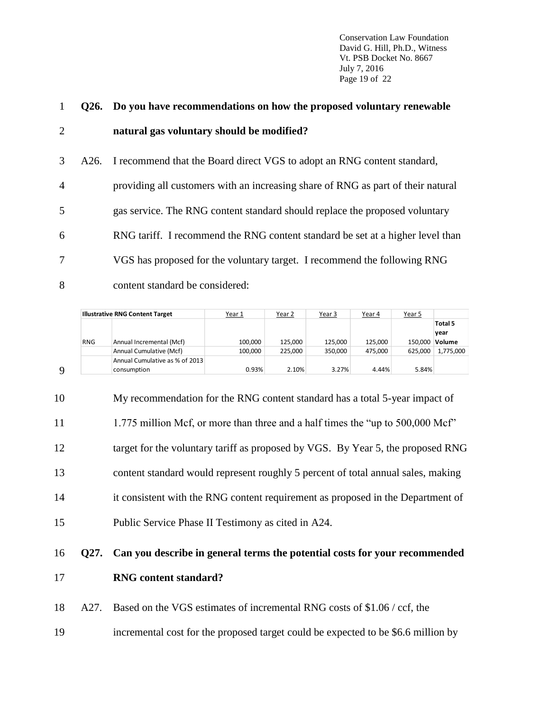Conservation Law Foundation David G. Hill, Ph.D., Witness Vt. PSB Docket No. 8667 July 7, 2016 Page 19 of 22

| $\mathbf{1}$   | Q26. Do you have recommendations on how the proposed voluntary renewable         |
|----------------|----------------------------------------------------------------------------------|
| 2              | natural gas voluntary should be modified?                                        |
| 3              | A26. I recommend that the Board direct VGS to adopt an RNG content standard,     |
| $\overline{4}$ | providing all customers with an increasing share of RNG as part of their natural |
| 5              | gas service. The RNG content standard should replace the proposed voluntary      |
| 6              | RNG tariff. I recommend the RNG content standard be set at a higher level than   |
| 7              | VGS has proposed for the voluntary target. I recommend the following RNG         |
| 8              | content standard be considered:                                                  |

|            | <b>Illustrative RNG Content Target</b> | Year 1  | Year 2  | Year 3  | Year 4  | Year 5  |           |
|------------|----------------------------------------|---------|---------|---------|---------|---------|-----------|
|            |                                        |         |         |         |         |         | Total 5   |
|            |                                        |         |         |         |         |         | year      |
| <b>RNG</b> | Annual Incremental (Mcf)               | 100.000 | 125.000 | 125.000 | 125.000 | 150.000 | Volume    |
|            | Annual Cumulative (Mcf)                | 100,000 | 225.000 | 350.000 | 475,000 | 625.000 | 1,775,000 |
|            | Annual Cumulative as % of 2013         |         |         |         |         |         |           |
|            | consumption                            | 0.93%   | 2.10%   | 3.27%   | 4.44%   | 5.84%   |           |

9

| 10 | My recommendation for the RNG content standard has a total 5-year impact of      |
|----|----------------------------------------------------------------------------------|
| 11 | 1.775 million Mcf, or more than three and a half times the "up to 500,000 Mcf"   |
| 12 | target for the voluntary tariff as proposed by VGS. By Year 5, the proposed RNG  |
| 13 | content standard would represent roughly 5 percent of total annual sales, making |
| 14 | it consistent with the RNG content requirement as proposed in the Department of  |
| 15 | Public Service Phase II Testimony as cited in A24.                               |

```
16 Q27. Can you describe in general terms the potential costs for your recommended 
17 RNG content standard?
```
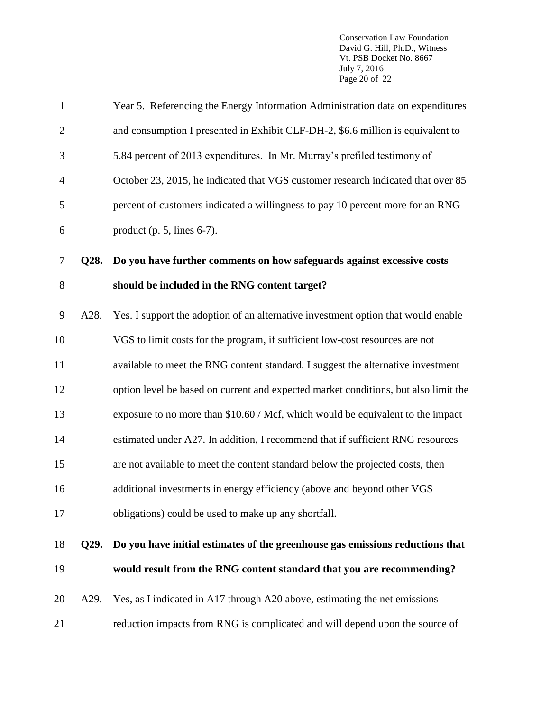Conservation Law Foundation David G. Hill, Ph.D., Witness Vt. PSB Docket No. 8667 July 7, 2016 Page 20 of 22

| $\mathbf{1}$   |      | Year 5. Referencing the Energy Information Administration data on expenditures      |
|----------------|------|-------------------------------------------------------------------------------------|
| $\overline{2}$ |      | and consumption I presented in Exhibit CLF-DH-2, \$6.6 million is equivalent to     |
| 3              |      | 5.84 percent of 2013 expenditures. In Mr. Murray's prefiled testimony of            |
| $\overline{4}$ |      | October 23, 2015, he indicated that VGS customer research indicated that over 85    |
| 5              |      | percent of customers indicated a willingness to pay 10 percent more for an RNG      |
| 6              |      | product (p. $5$ , lines 6-7).                                                       |
| $\tau$         | Q28. | Do you have further comments on how safeguards against excessive costs              |
| 8              |      | should be included in the RNG content target?                                       |
| $\overline{9}$ | A28. | Yes. I support the adoption of an alternative investment option that would enable   |
| 10             |      | VGS to limit costs for the program, if sufficient low-cost resources are not        |
| 11             |      | available to meet the RNG content standard. I suggest the alternative investment    |
| 12             |      | option level be based on current and expected market conditions, but also limit the |
| 13             |      | exposure to no more than \$10.60 / Mcf, which would be equivalent to the impact     |
| 14             |      | estimated under A27. In addition, I recommend that if sufficient RNG resources      |
| 15             |      | are not available to meet the content standard below the projected costs, then      |
| 16             |      | additional investments in energy efficiency (above and beyond other VGS             |
| 17             |      | obligations) could be used to make up any shortfall.                                |
| 18             | Q29. | Do you have initial estimates of the greenhouse gas emissions reductions that       |
| 19             |      | would result from the RNG content standard that you are recommending?               |
| 20             | A29. | Yes, as I indicated in A17 through A20 above, estimating the net emissions          |
| 21             |      | reduction impacts from RNG is complicated and will depend upon the source of        |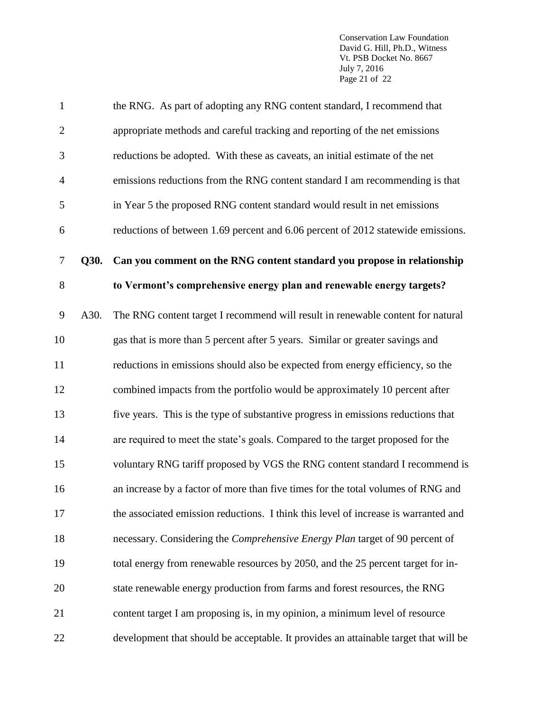Conservation Law Foundation David G. Hill, Ph.D., Witness Vt. PSB Docket No. 8667 July 7, 2016 Page 21 of 22

| $\mathbf{1}$     |      | the RNG. As part of adopting any RNG content standard, I recommend that              |
|------------------|------|--------------------------------------------------------------------------------------|
| $\overline{2}$   |      | appropriate methods and careful tracking and reporting of the net emissions          |
| 3                |      | reductions be adopted. With these as caveats, an initial estimate of the net         |
| $\overline{4}$   |      | emissions reductions from the RNG content standard I am recommending is that         |
| 5                |      | in Year 5 the proposed RNG content standard would result in net emissions            |
| 6                |      | reductions of between 1.69 percent and 6.06 percent of 2012 statewide emissions.     |
| $\boldsymbol{7}$ | Q30. | Can you comment on the RNG content standard you propose in relationship              |
| 8                |      | to Vermont's comprehensive energy plan and renewable energy targets?                 |
| $\overline{9}$   | A30. | The RNG content target I recommend will result in renewable content for natural      |
| 10               |      | gas that is more than 5 percent after 5 years. Similar or greater savings and        |
| 11               |      | reductions in emissions should also be expected from energy efficiency, so the       |
| 12               |      | combined impacts from the portfolio would be approximately 10 percent after          |
| 13               |      | five years. This is the type of substantive progress in emissions reductions that    |
| 14               |      | are required to meet the state's goals. Compared to the target proposed for the      |
| 15               |      | voluntary RNG tariff proposed by VGS the RNG content standard I recommend is         |
| 16               |      | an increase by a factor of more than five times for the total volumes of RNG and     |
| 17               |      | the associated emission reductions. I think this level of increase is warranted and  |
| 18               |      | necessary. Considering the Comprehensive Energy Plan target of 90 percent of         |
| 19               |      | total energy from renewable resources by 2050, and the 25 percent target for in-     |
| 20               |      | state renewable energy production from farms and forest resources, the RNG           |
| 21               |      | content target I am proposing is, in my opinion, a minimum level of resource         |
| 22               |      | development that should be acceptable. It provides an attainable target that will be |